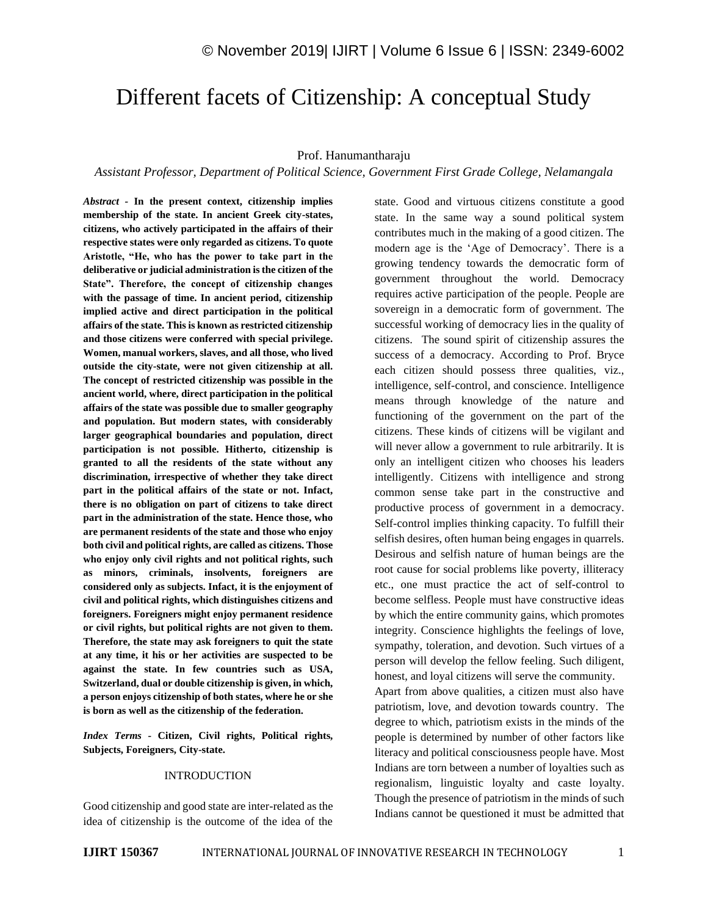# Different facets of Citizenship: A conceptual Study

### Prof. Hanumantharaju

*Assistant Professor, Department of Political Science, Government First Grade College, Nelamangala*

*Abstract -* **In the present context, citizenship implies membership of the state. In ancient Greek city-states, citizens, who actively participated in the affairs of their respective states were only regarded as citizens. To quote Aristotle, "He, who has the power to take part in the deliberative or judicial administration is the citizen of the State". Therefore, the concept of citizenship changes with the passage of time. In ancient period, citizenship implied active and direct participation in the political affairs of the state. This is known as restricted citizenship and those citizens were conferred with special privilege. Women, manual workers, slaves, and all those, who lived outside the city-state, were not given citizenship at all. The concept of restricted citizenship was possible in the ancient world, where, direct participation in the political affairs of the state was possible due to smaller geography and population. But modern states, with considerably larger geographical boundaries and population, direct participation is not possible. Hitherto, citizenship is granted to all the residents of the state without any discrimination, irrespective of whether they take direct part in the political affairs of the state or not. Infact, there is no obligation on part of citizens to take direct part in the administration of the state. Hence those, who are permanent residents of the state and those who enjoy both civil and political rights, are called as citizens. Those who enjoy only civil rights and not political rights, such as minors, criminals, insolvents, foreigners are considered only as subjects. Infact, it is the enjoyment of civil and political rights, which distinguishes citizens and foreigners. Foreigners might enjoy permanent residence or civil rights, but political rights are not given to them. Therefore, the state may ask foreigners to quit the state at any time, it his or her activities are suspected to be against the state. In few countries such as USA, Switzerland, dual or double citizenship is given, in which, a person enjoys citizenship of both states, where he or she is born as well as the citizenship of the federation.** 

*Index Terms -* **Citizen, Civil rights, Political rights, Subjects, Foreigners, City-state.**

# INTRODUCTION

Good citizenship and good state are inter-related as the idea of citizenship is the outcome of the idea of the state. Good and virtuous citizens constitute a good state. In the same way a sound political system contributes much in the making of a good citizen. The modern age is the 'Age of Democracy'. There is a growing tendency towards the democratic form of government throughout the world. Democracy requires active participation of the people. People are sovereign in a democratic form of government. The successful working of democracy lies in the quality of citizens. The sound spirit of citizenship assures the success of a democracy. According to Prof. Bryce each citizen should possess three qualities, viz., intelligence, self-control, and conscience. Intelligence means through knowledge of the nature and functioning of the government on the part of the citizens. These kinds of citizens will be vigilant and will never allow a government to rule arbitrarily. It is only an intelligent citizen who chooses his leaders intelligently. Citizens with intelligence and strong common sense take part in the constructive and productive process of government in a democracy. Self-control implies thinking capacity. To fulfill their selfish desires, often human being engages in quarrels. Desirous and selfish nature of human beings are the root cause for social problems like poverty, illiteracy etc., one must practice the act of self-control to become selfless. People must have constructive ideas by which the entire community gains, which promotes integrity. Conscience highlights the feelings of love, sympathy, toleration, and devotion. Such virtues of a person will develop the fellow feeling. Such diligent, honest, and loyal citizens will serve the community.

Apart from above qualities, a citizen must also have patriotism, love, and devotion towards country. The degree to which, patriotism exists in the minds of the people is determined by number of other factors like literacy and political consciousness people have. Most Indians are torn between a number of loyalties such as regionalism, linguistic loyalty and caste loyalty. Though the presence of patriotism in the minds of such Indians cannot be questioned it must be admitted that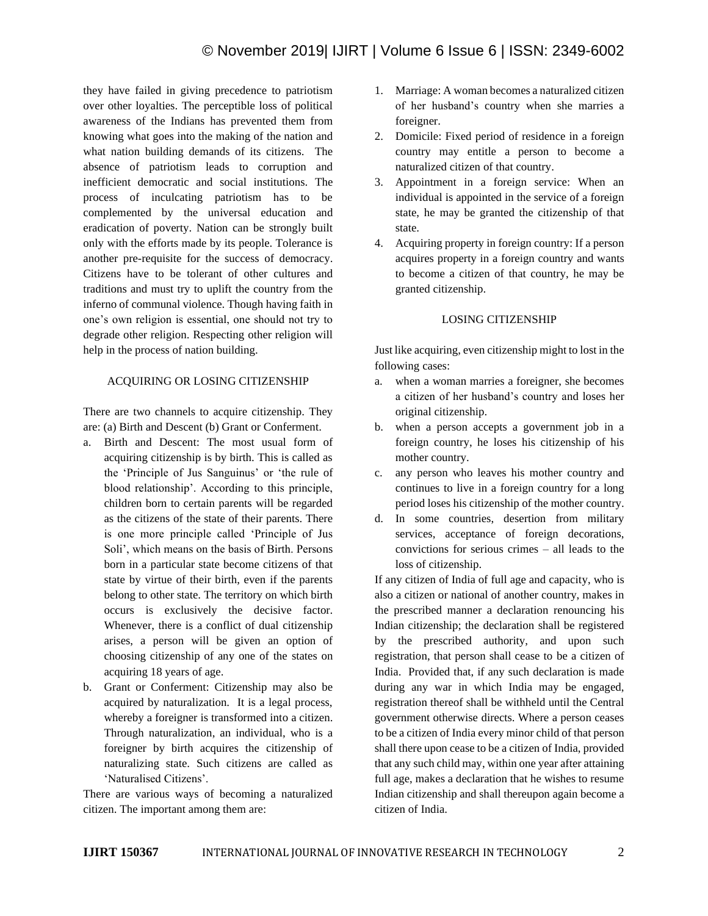they have failed in giving precedence to patriotism over other loyalties. The perceptible loss of political awareness of the Indians has prevented them from knowing what goes into the making of the nation and what nation building demands of its citizens. The absence of patriotism leads to corruption and inefficient democratic and social institutions. The process of inculcating patriotism has to be complemented by the universal education and eradication of poverty. Nation can be strongly built only with the efforts made by its people. Tolerance is another pre-requisite for the success of democracy. Citizens have to be tolerant of other cultures and traditions and must try to uplift the country from the inferno of communal violence. Though having faith in one's own religion is essential, one should not try to degrade other religion. Respecting other religion will help in the process of nation building.

# ACQUIRING OR LOSING CITIZENSHIP

There are two channels to acquire citizenship. They are: (a) Birth and Descent (b) Grant or Conferment.

- a. Birth and Descent: The most usual form of acquiring citizenship is by birth. This is called as the 'Principle of Jus Sanguinus' or 'the rule of blood relationship'. According to this principle, children born to certain parents will be regarded as the citizens of the state of their parents. There is one more principle called 'Principle of Jus Soli', which means on the basis of Birth. Persons born in a particular state become citizens of that state by virtue of their birth, even if the parents belong to other state. The territory on which birth occurs is exclusively the decisive factor. Whenever, there is a conflict of dual citizenship arises, a person will be given an option of choosing citizenship of any one of the states on acquiring 18 years of age.
- b. Grant or Conferment: Citizenship may also be acquired by naturalization. It is a legal process, whereby a foreigner is transformed into a citizen. Through naturalization, an individual, who is a foreigner by birth acquires the citizenship of naturalizing state. Such citizens are called as 'Naturalised Citizens'.

There are various ways of becoming a naturalized citizen. The important among them are:

- 1. Marriage: A woman becomes a naturalized citizen of her husband's country when she marries a foreigner.
- 2. Domicile: Fixed period of residence in a foreign country may entitle a person to become a naturalized citizen of that country.
- 3. Appointment in a foreign service: When an individual is appointed in the service of a foreign state, he may be granted the citizenship of that state.
- 4. Acquiring property in foreign country: If a person acquires property in a foreign country and wants to become a citizen of that country, he may be granted citizenship.

## LOSING CITIZENSHIP

Just like acquiring, even citizenship might to lost in the following cases:

- a. when a woman marries a foreigner, she becomes a citizen of her husband's country and loses her original citizenship.
- b. when a person accepts a government job in a foreign country, he loses his citizenship of his mother country.
- c. any person who leaves his mother country and continues to live in a foreign country for a long period loses his citizenship of the mother country.
- d. In some countries, desertion from military services, acceptance of foreign decorations, convictions for serious crimes – all leads to the loss of citizenship.

If any citizen of India of full age and capacity, who is also a citizen or national of another country, makes in the prescribed manner a declaration renouncing his Indian citizenship; the declaration shall be registered by the prescribed authority, and upon such registration, that person shall cease to be a citizen of India. Provided that, if any such declaration is made during any war in which India may be engaged, registration thereof shall be withheld until the Central government otherwise directs. Where a person ceases to be a citizen of India every minor child of that person shall there upon cease to be a citizen of India, provided that any such child may, within one year after attaining full age, makes a declaration that he wishes to resume Indian citizenship and shall thereupon again become a citizen of India.